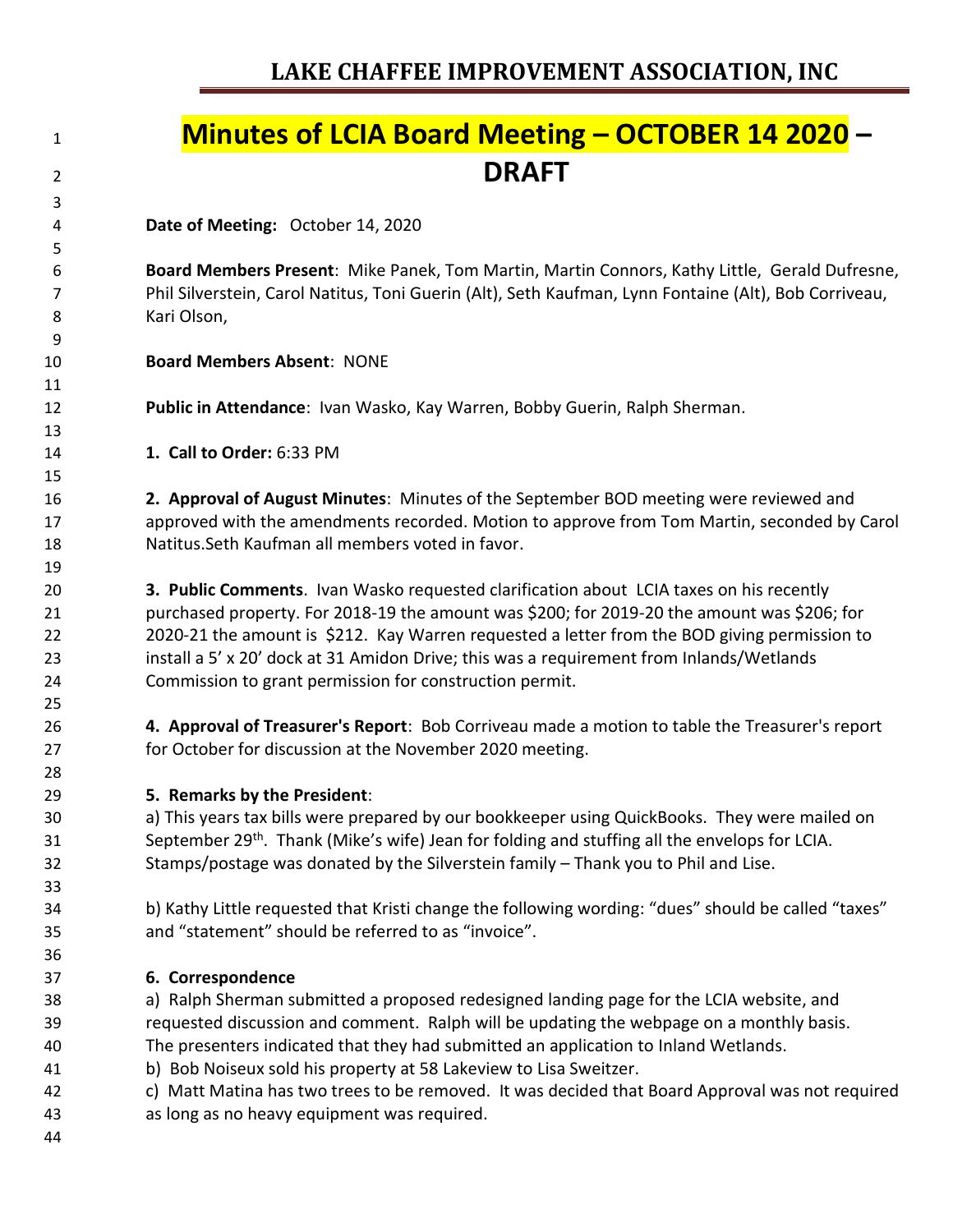## **Minutes of LCIA Board Meeting – OCTOBER 14 2020 – DRAFT**

**Date of Meeting:** October 14, 2020

 **Board Members Present**: Mike Panek, Tom Martin, Martin Connors, Kathy Little, Gerald Dufresne, Phil Silverstein, Carol Natitus, Toni Guerin (Alt), Seth Kaufman, Lynn Fontaine (Alt), Bob Corriveau, Kari Olson,

**Board Members Absent**: NONE

**Public in Attendance**: Ivan Wasko, Kay Warren, Bobby Guerin, Ralph Sherman.

**1. Call to Order:** 6:33 PM

 **2. Approval of August Minutes**: Minutes of the September BOD meeting were reviewed and approved with the amendments recorded. Motion to approve from Tom Martin, seconded by Carol Natitus.Seth Kaufman all members voted in favor.

 **3. Public Comments**. Ivan Wasko requested clarification about LCIA taxes on his recently purchased property. For 2018-19 the amount was \$200; for 2019-20 the amount was \$206; for 2020-21 the amount is \$212. Kay Warren requested a letter from the BOD giving permission to install a 5' x 20' dock at 31 Amidon Drive; this was a requirement from Inlands/Wetlands Commission to grant permission for construction permit.

 **4. Approval of Treasurer's Report**: Bob Corriveau made a motion to table the Treasurer's report for October for discussion at the November 2020 meeting.

**5. Remarks by the President**:

 a) This years tax bills were prepared by our bookkeeper using QuickBooks. They were mailed on 31 September 29<sup>th</sup>. Thank (Mike's wife) Jean for folding and stuffing all the envelops for LCIA. Stamps/postage was donated by the Silverstein family – Thank you to Phil and Lise.

 b) Kathy Little requested that Kristi change the following wording: "dues" should be called "taxes" and "statement" should be referred to as "invoice".

**6. Correspondence**

 a) Ralph Sherman submitted a proposed redesigned landing page for the LCIA website, and requested discussion and comment. Ralph will be updating the webpage on a monthly basis. The presenters indicated that they had submitted an application to Inland Wetlands.

- b) Bob Noiseux sold his property at 58 Lakeview to Lisa Sweitzer.
- c) Matt Matina has two trees to be removed. It was decided that Board Approval was not required as long as no heavy equipment was required.
-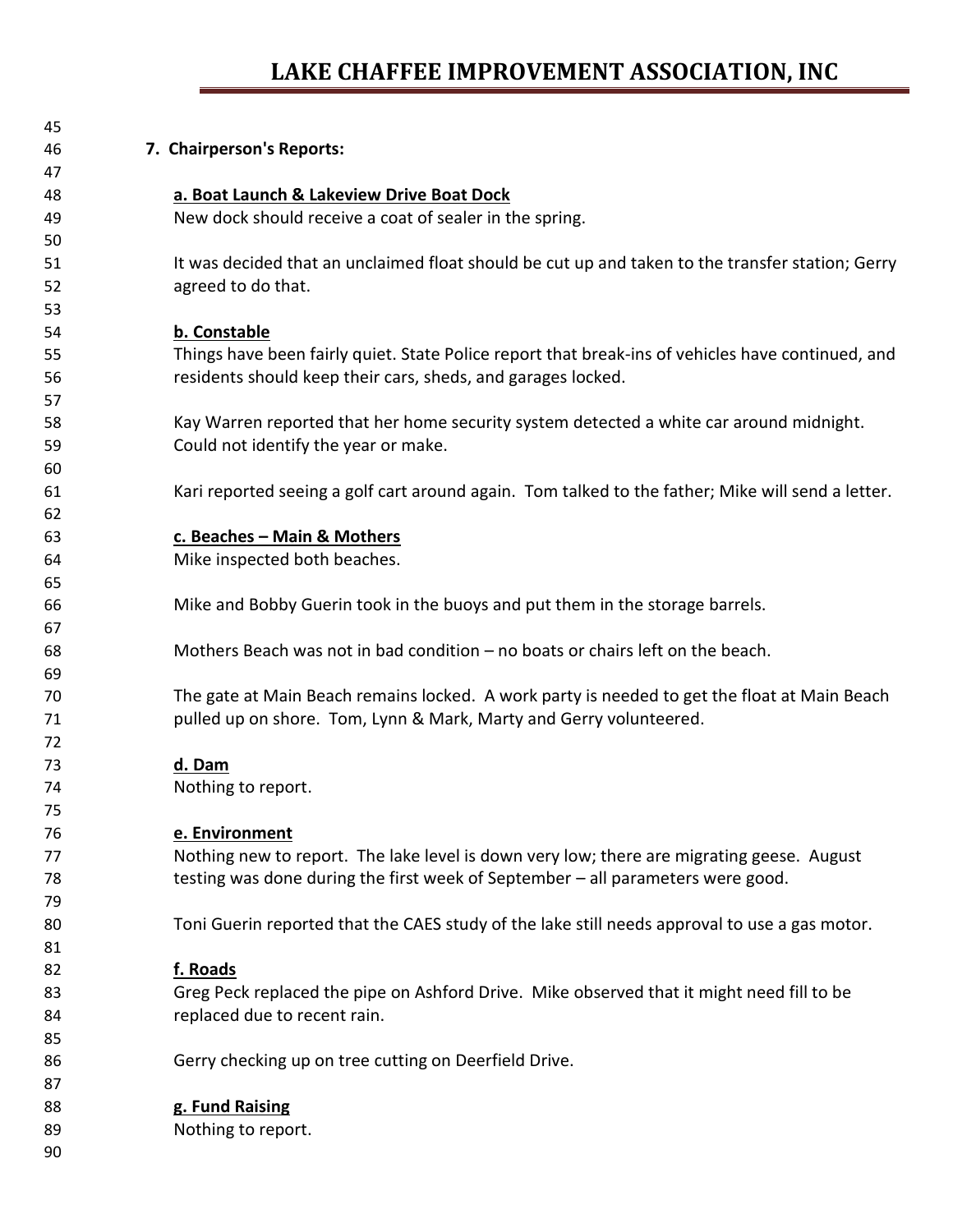## **LAKE CHAFFEE IMPROVEMENT ASSOCIATION, INC**

| 45 |                                                                                                   |
|----|---------------------------------------------------------------------------------------------------|
| 46 | 7. Chairperson's Reports:                                                                         |
| 47 |                                                                                                   |
| 48 | a. Boat Launch & Lakeview Drive Boat Dock                                                         |
| 49 | New dock should receive a coat of sealer in the spring.                                           |
| 50 |                                                                                                   |
| 51 | It was decided that an unclaimed float should be cut up and taken to the transfer station; Gerry  |
| 52 | agreed to do that.                                                                                |
| 53 |                                                                                                   |
| 54 | b. Constable                                                                                      |
| 55 | Things have been fairly quiet. State Police report that break-ins of vehicles have continued, and |
| 56 | residents should keep their cars, sheds, and garages locked.                                      |
| 57 |                                                                                                   |
| 58 | Kay Warren reported that her home security system detected a white car around midnight.           |
| 59 | Could not identify the year or make.                                                              |
| 60 |                                                                                                   |
| 61 | Kari reported seeing a golf cart around again. Tom talked to the father; Mike will send a letter. |
| 62 |                                                                                                   |
| 63 | c. Beaches - Main & Mothers                                                                       |
| 64 | Mike inspected both beaches.                                                                      |
| 65 |                                                                                                   |
| 66 | Mike and Bobby Guerin took in the buoys and put them in the storage barrels.                      |
| 67 |                                                                                                   |
| 68 | Mothers Beach was not in bad condition – no boats or chairs left on the beach.                    |
| 69 |                                                                                                   |
| 70 | The gate at Main Beach remains locked. A work party is needed to get the float at Main Beach      |
| 71 | pulled up on shore. Tom, Lynn & Mark, Marty and Gerry volunteered.                                |
| 72 |                                                                                                   |
| 73 | d. Dam                                                                                            |
| 74 | Nothing to report.                                                                                |
| 75 |                                                                                                   |
| 76 | e. Environment                                                                                    |
| 77 | Nothing new to report. The lake level is down very low; there are migrating geese. August         |
| 78 | testing was done during the first week of September - all parameters were good.                   |
| 79 |                                                                                                   |
| 80 | Toni Guerin reported that the CAES study of the lake still needs approval to use a gas motor.     |
| 81 |                                                                                                   |
| 82 | f. Roads                                                                                          |
| 83 | Greg Peck replaced the pipe on Ashford Drive. Mike observed that it might need fill to be         |
| 84 | replaced due to recent rain.                                                                      |
| 85 |                                                                                                   |
| 86 | Gerry checking up on tree cutting on Deerfield Drive.                                             |
| 87 |                                                                                                   |
| 88 | g. Fund Raising                                                                                   |
| 89 | Nothing to report.                                                                                |
| 90 |                                                                                                   |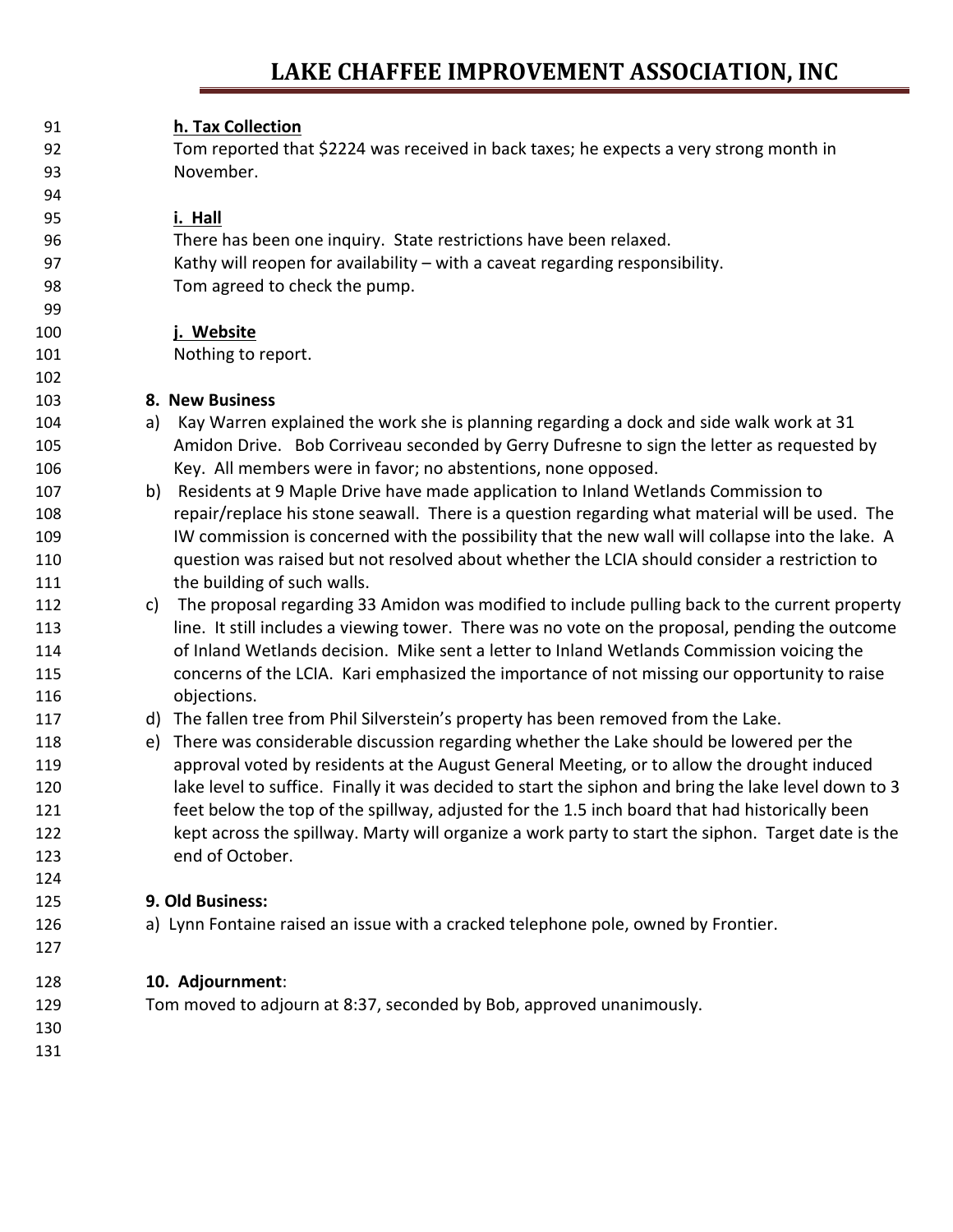## **LAKE CHAFFEE IMPROVEMENT ASSOCIATION, INC**

| 91  | h. Tax Collection                                                                                    |
|-----|------------------------------------------------------------------------------------------------------|
| 92  | Tom reported that \$2224 was received in back taxes; he expects a very strong month in               |
| 93  | November.                                                                                            |
| 94  |                                                                                                      |
| 95  | i. Hall                                                                                              |
|     |                                                                                                      |
| 96  | There has been one inquiry. State restrictions have been relaxed.                                    |
| 97  | Kathy will reopen for availability - with a caveat regarding responsibility.                         |
| 98  | Tom agreed to check the pump.                                                                        |
| 99  |                                                                                                      |
| 100 | j. Website                                                                                           |
| 101 | Nothing to report.                                                                                   |
| 102 |                                                                                                      |
| 103 | 8. New Business                                                                                      |
| 104 | Kay Warren explained the work she is planning regarding a dock and side walk work at 31<br>a)        |
| 105 | Amidon Drive. Bob Corriveau seconded by Gerry Dufresne to sign the letter as requested by            |
| 106 | Key. All members were in favor; no abstentions, none opposed.                                        |
| 107 | Residents at 9 Maple Drive have made application to Inland Wetlands Commission to<br>b)              |
| 108 | repair/replace his stone seawall. There is a question regarding what material will be used. The      |
| 109 | IW commission is concerned with the possibility that the new wall will collapse into the lake. A     |
| 110 | question was raised but not resolved about whether the LCIA should consider a restriction to         |
| 111 | the building of such walls.                                                                          |
| 112 | The proposal regarding 33 Amidon was modified to include pulling back to the current property<br>C)  |
| 113 | line. It still includes a viewing tower. There was no vote on the proposal, pending the outcome      |
| 114 | of Inland Wetlands decision. Mike sent a letter to Inland Wetlands Commission voicing the            |
| 115 | concerns of the LCIA. Kari emphasized the importance of not missing our opportunity to raise         |
| 116 | objections.                                                                                          |
| 117 | d) The fallen tree from Phil Silverstein's property has been removed from the Lake.                  |
| 118 | There was considerable discussion regarding whether the Lake should be lowered per the<br>e)         |
| 119 | approval voted by residents at the August General Meeting, or to allow the drought induced           |
| 120 | lake level to suffice. Finally it was decided to start the siphon and bring the lake level down to 3 |
| 121 | feet below the top of the spillway, adjusted for the 1.5 inch board that had historically been       |
| 122 | kept across the spillway. Marty will organize a work party to start the siphon. Target date is the   |
| 123 | end of October.                                                                                      |
| 124 |                                                                                                      |
| 125 | 9. Old Business:                                                                                     |
| 126 | a) Lynn Fontaine raised an issue with a cracked telephone pole, owned by Frontier.                   |
| 127 |                                                                                                      |
| 128 | 10. Adjournment:                                                                                     |
| 129 | Tom moved to adjourn at 8:37, seconded by Bob, approved unanimously.                                 |
| 130 |                                                                                                      |
| 131 |                                                                                                      |
|     |                                                                                                      |